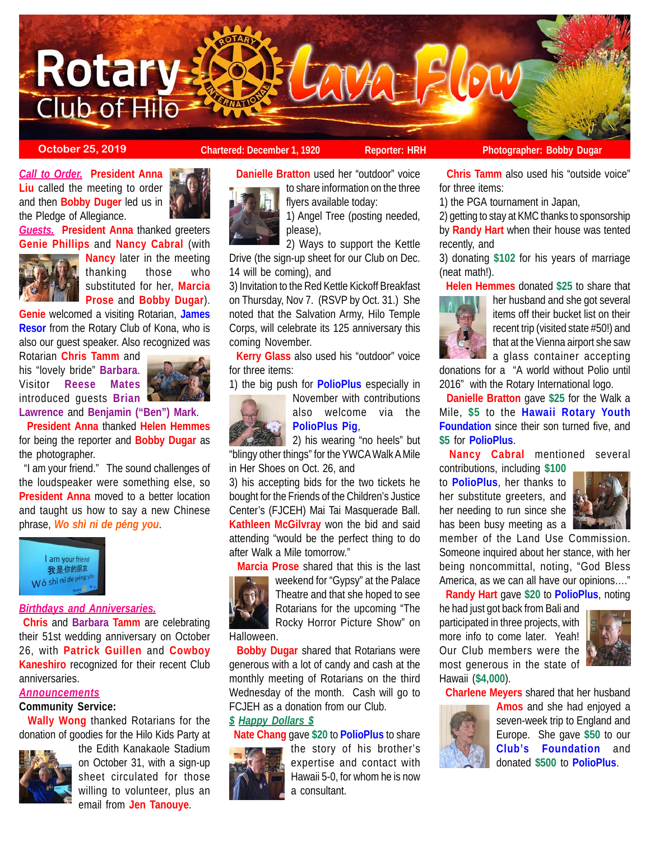

*Call to Order.* **President Anna Liu** called the meeting to order and then **Bobby Duger** led us in the Pledge of Allegiance.

*Guests.* **President Anna** thanked greeters **Genie Phillips** and **Nancy Cabral** (with



**Nancy** later in the meeting thanking those who substituted for her, **Marcia Prose** and **Bobby Dugar**).

**Genie** welcomed a visiting Rotarian, **James Resor** from the Rotary Club of Kona, who is also our guest speaker. Also recognized was

Rotarian **Chris Tamm** and his "lovely bride" **Barbara**. Visitor **Reese Mates** introduced guests **Brian**



**Lawrence** and **Benjamin ("Ben") Mark**.

 **President Anna** thanked **Helen Hemmes** for being the reporter and **Bobby Dugar** as the photographer.

 "I am your friend." The sound challenges of the loudspeaker were something else, so **President Anna** moved to a better location and taught us how to say a new Chinese phrase, *Wo shì ni de péng you*.



# *Birthdays and Anniversaries.*

**Chris** and **Barbara Tamm** are celebrating their 51st wedding anniversary on October 26, with **Patrick Guillen** and **Cowboy Kaneshiro** recognized for their recent Club anniversaries.

## *Announcements*

# **Community Service:**

 **Wally Wong** thanked Rotarians for the donation of goodies for the Hilo Kids Party at



the Edith Kanakaole Stadium on October 31, with a sign-up sheet circulated for those willing to volunteer, plus an email from **Jen Tanouye**.

**October 25, 2019 Chartered: December 1, 1920 Reporter: HRH** Photographer: Bobby Dugar

 **Danielle Bratton** used her "outdoor" voice to share information on the three

flyers available today:

1) Angel Tree (posting needed, please),

2) Ways to support the Kettle Drive (the sign-up sheet for our Club on Dec. 14 will be coming), and

3) Invitation to the Red Kettle Kickoff Breakfast on Thursday, Nov 7. (RSVP by Oct. 31.) She noted that the Salvation Army, Hilo Temple Corps, will celebrate its 125 anniversary this coming November.

 **Kerry Glass** also used his "outdoor" voice for three items:

1) the big push for **PolioPlus** especially in November with contributions



also welcome via the **PolioPlus Pig**,

2) his wearing "no heels" but "blingy other things" for the YWCA Walk A Mile in Her Shoes on Oct. 26, and

3) his accepting bids for the two tickets he bought for the Friends of the Children's Justice Center's (FJCEH) Mai Tai Masquerade Ball. **Kathleen McGilvray** won the bid and said attending "would be the perfect thing to do after Walk a Mile tomorrow."

**Marcia Prose** shared that this is the last



weekend for "Gypsy" at the Palace Theatre and that she hoped to see Rotarians for the upcoming "The Rocky Horror Picture Show" on

 **Bobby Dugar** shared that Rotarians were generous with a lot of candy and cash at the monthly meeting of Rotarians on the third Wednesday of the month. Cash will go to FCJEH as a donation from our Club.

### *\$ Happy Dollars \$*

**Nate Chang** gave **\$20** to **PolioPlus** to share



the story of his brother's expertise and contact with Hawaii 5-0, for whom he is now a consultant.

**Chris Tamm** also used his "outside voice"

for three items:

1) the PGA tournament in Japan,

2) getting to stay at KMC thanks to sponsorship by **Randy Hart** when their house was tented recently, and

3) donating **\$102** for his years of marriage (neat math!).

**Helen Hemmes** donated **\$25** to share that



her husband and she got several items off their bucket list on their recent trip (visited state #50!) and that at the Vienna airport she saw a glass container accepting

donations for a "A world without Polio until 2016" with the Rotary International logo.

 **Danielle Bratton** gave **\$25** for the Walk a Mile, **\$5** to the **Hawaii Rotary Youth Foundation** since their son turned five, and **\$5** for **PolioPlus**.

**Nancy Cabral** mentioned several

contributions, including **\$100** to **PolioPlus**, her thanks to her substitute greeters, and her needing to run since she has been busy meeting as a



member of the Land Use Commission. Someone inquired about her stance, with her being noncommittal, noting, "God Bless America, as we can all have our opinions…."

**Randy Hart** gave **\$20** to **PolioPlus**, noting

he had just got back from Bali and participated in three projects, with more info to come later. Yeah! Our Club members were the most generous in the state of Hawaii (**\$4,000**).



**Charlene Meyers** shared that her husband



**Amos** and she had enjoyed a seven-week trip to England and Europe. She gave **\$50** to our **Club's Foundation** and donated **\$500** to **PolioPlus**.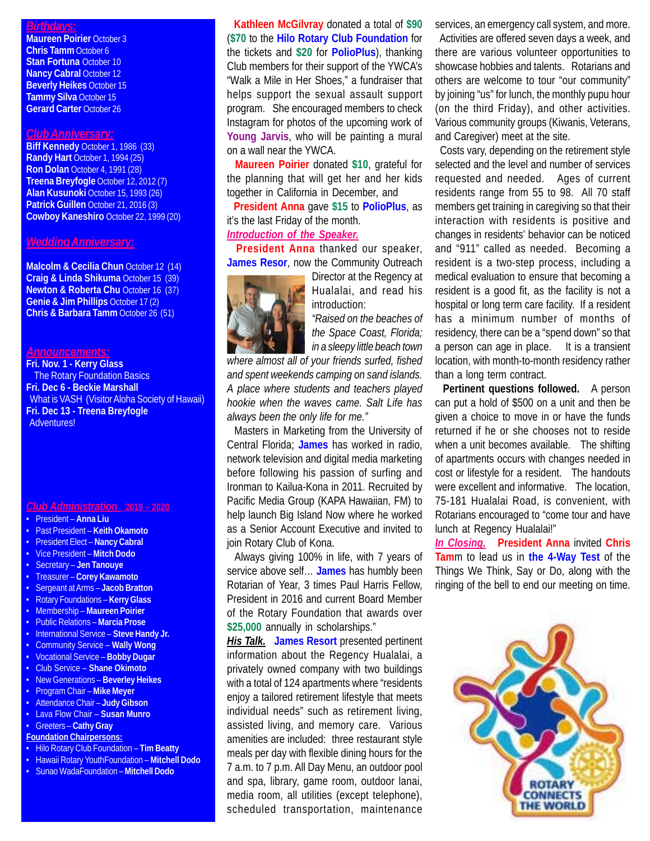## *Birthdays:*

**Maureen Poirier** October 3 **Chris Tamm** October 6 **Stan Fortuna October 10 Nancy Cabral October 12 Beverly Heikes** October 15 **Tammy Silva** October 15 **Gerard Carter** October 26

#### *Club Anniversary:*

**Biff Kennedy** October 1, 1986 (33) **Randy Hart** October 1, 1994 (25) **Ron Dolan** October 4, 1991 (28) **Treena Breyfogle** October 12, 2012 (7) **Alan Kusunoki** October 15, 1993 (26) **Patrick Guillen** October 21, 2016 (3) **Cowboy Kaneshiro** October 22, 1999 (20)

#### *Wedding Anniversary:*

**Malcolm & Cecilia Chun October 12 (14) Craig & Linda Shikuma** October 15 (39) **Newton & Roberta Chu October 16 (37) Genie & Jim Phillips** October 17 (2) **Chris & Barbara Tamm** October 26 (51)

#### *Announcements:*

**Fri. Nov. 1 - Kerry Glass The Rotary Foundation Basics Fri. Dec 6 - Beckie Marshall** What is VASH (Visitor Aloha Society of Hawaii) **Fri. Dec 13 - Treena Breyfogle** Adventures!

*Club Administration* **2019 – 2020**

- President **Anna Liu**
- Past President **Keith Okamoto**
- President Elect **Nancy Cabral**
- Vice President **Mitch Dodo**
- Secretary **Jen Tanouye**
- Treasurer **Corey Kawamoto**
- Sergeant at Arms – **Jacob Bratton**
- Rotary Foundations **Kerry Glass**
- Membership **Maureen Poirier**
- Public Relations **Marcia Prose**
- International Service **Steve Handy Jr.**
- Community Service **Wally Wong**
- Vocational Service **Bobby Dugar**
- Club Service **Shane Okimoto**
- New Generations **Beverley Heikes**
- Program Chair – **Mike Meyer**
- Attendance Chair **Judy Gibson**
- Lava Flow Chair **Susan Munro**
- Greeters **Cathy Gray**
- **Foundation Chairpersons:**
- Hilo Rotary Club Foundation **Tim Beatty**
- Hawaii Rotary YouthFoundation **Mitchell Dodo**
- Sunao WadaFoundation **Mitchell Dodo**

 **Kathleen McGilvray** donated a total of **\$90** (**\$70** to the **Hilo Rotary Club Foundation** for the tickets and **\$20** for **PolioPlus**), thanking Club members for their support of the YWCA's "Walk a Mile in Her Shoes," a fundraiser that helps support the sexual assault support program. She encouraged members to check Instagram for photos of the upcoming work of **Young Jarvis**, who will be painting a mural on a wall near the YWCA.

 **Maureen Poirier** donated **\$10**, grateful for the planning that will get her and her kids together in California in December, and

 **President Anna** gave **\$15** to **PolioPlus**, as it's the last Friday of the month.

# *Introduction of the Speaker.*

 **President Anna** thanked our speaker, **James Resor**, now the Community Outreach



Director at the Regency at Hualalai, and read his introduction:

*"Raised on the beaches of the Space Coast, Florida; in a sleepy little beach town*

*where almost all of your friends surfed, fished and spent weekends camping on sand islands. A place where students and teachers played hookie when the waves came. Salt Life has always been the only life for me."*

 Masters in Marketing from the University of Central Florida; **James** has worked in radio, network television and digital media marketing before following his passion of surfing and Ironman to Kailua-Kona in 2011. Recruited by Pacific Media Group (KAPA Hawaiian, FM) to help launch Big Island Now where he worked as a Senior Account Executive and invited to join Rotary Club of Kona.

 Always giving 100% in life, with 7 years of service above self… **James** has humbly been Rotarian of Year, 3 times Paul Harris Fellow, President in 2016 and current Board Member of the Rotary Foundation that awards over **\$25,000** annually in scholarships."

*His Talk.* **James Resort** presented pertinent information about the Regency Hualalai, a privately owned company with two buildings with a total of 124 apartments where "residents enjoy a tailored retirement lifestyle that meets individual needs" such as retirement living, assisted living, and memory care. Various amenities are included: three restaurant style meals per day with flexible dining hours for the 7 a.m. to 7 p.m. All Day Menu, an outdoor pool and spa, library, game room, outdoor lanai, media room, all utilities (except telephone), scheduled transportation, maintenance services, an emergency call system, and more.

 Activities are offered seven days a week, and there are various volunteer opportunities to showcase hobbies and talents. Rotarians and others are welcome to tour "our community" by joining "us" for lunch, the monthly pupu hour (on the third Friday), and other activities. Various community groups (Kiwanis, Veterans, and Caregiver) meet at the site.

 Costs vary, depending on the retirement style selected and the level and number of services requested and needed. Ages of current residents range from 55 to 98. All 70 staff members get training in caregiving so that their interaction with residents is positive and changes in residents' behavior can be noticed and "911" called as needed. Becoming a resident is a two-step process, including a medical evaluation to ensure that becoming a resident is a good fit, as the facility is not a hospital or long term care facility. If a resident has a minimum number of months of residency, there can be a "spend down" so that a person can age in place. It is a transient location, with month-to-month residency rather than a long term contract.

 **Pertinent questions followed.** A person can put a hold of \$500 on a unit and then be given a choice to move in or have the funds returned if he or she chooses not to reside when a unit becomes available. The shifting of apartments occurs with changes needed in cost or lifestyle for a resident. The handouts were excellent and informative. The location, 75-181 Hualalai Road, is convenient, with Rotarians encouraged to "come tour and have lunch at Regency Hualalai!"

*In Closing.* **President Anna** invited **Chris Tam**m to lead us in **the 4-Way Test** of the Things We Think, Say or Do, along with the ringing of the bell to end our meeting on time.